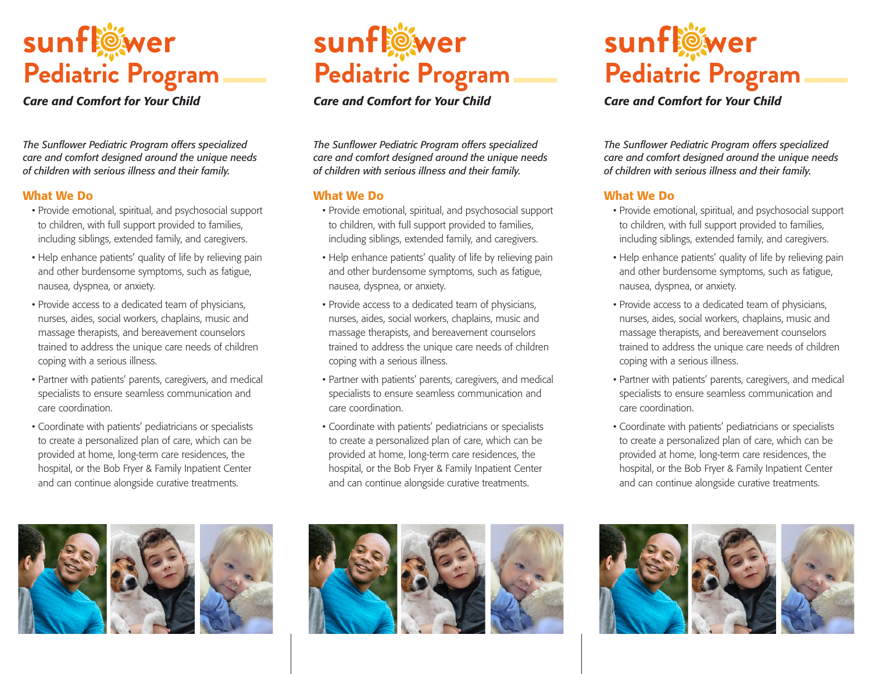

## *Care and Comfort for Your Child*

*The Sunflower Pediatric Program offers specialized care and comfort designed around the unique needs of children with serious illness and their family.*

## What We Do

- Provide emotional, spiritual, and psychosocial support to children, with full support provided to families, including siblings, extended family, and caregivers.
- Help enhance patients' quality of life by relieving pain and other burdensome symptoms, such as fatigue, nausea, dyspnea, or anxiety.
- Provide access to a dedicated team of physicians, nurses, aides, social workers, chaplains, music and massage therapists, and bereavement counselors trained to address the unique care needs of children coping with a serious illness.
- Partner with patients' parents, caregivers, and medical specialists to ensure seamless communication and care coordination.
- Coordinate with patients' pediatricians or specialists to create a personalized plan of care, which can be provided at home, long-term care residences, the hospital, or the Bob Fryer & Family Inpatient Center and can continue alongside curative treatments.